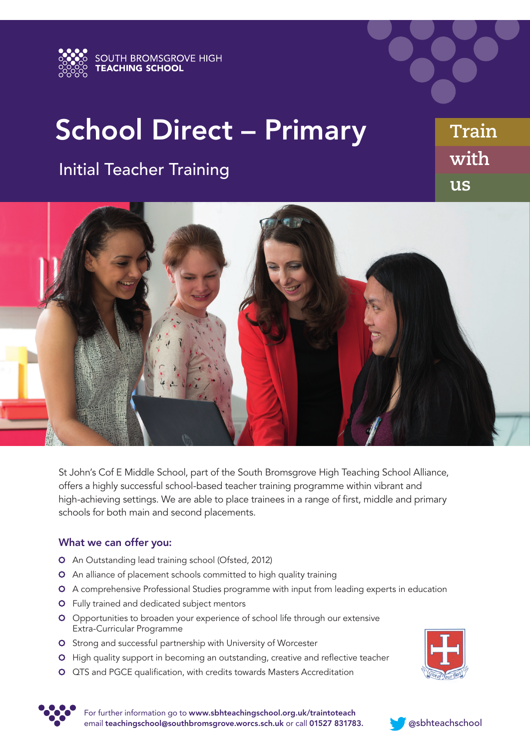

## School Direct – Primary

## Initial Teacher Training

**us with Train**



St John's Cof E Middle School, part of the South Bromsgrove High Teaching School Alliance, offers a highly successful school-based teacher training programme within vibrant and high-achieving settings. We are able to place trainees in a range of first, middle and primary schools for both main and second placements.

## What we can offer you:

- An Outstanding lead training school (Ofsted, 2012)
- **O** An alliance of placement schools committed to high quality training
- A comprehensive Professional Studies programme with input from leading experts in education
- Fully trained and dedicated subject mentors
- O Opportunities to broaden your experience of school life through our extensive Extra-Curricular Programme
- O Strong and successful partnership with University of Worcester
- **O** High quality support in becoming an outstanding, creative and reflective teacher
- QTS and PGCE qualification, with credits towards Masters Accreditation





For further information go to www.sbhteachingschool.org.uk/traintoteach email teachingschool@southbromsgrove.worcs.sch.uk or call 01527 831783. @sbhteachschool